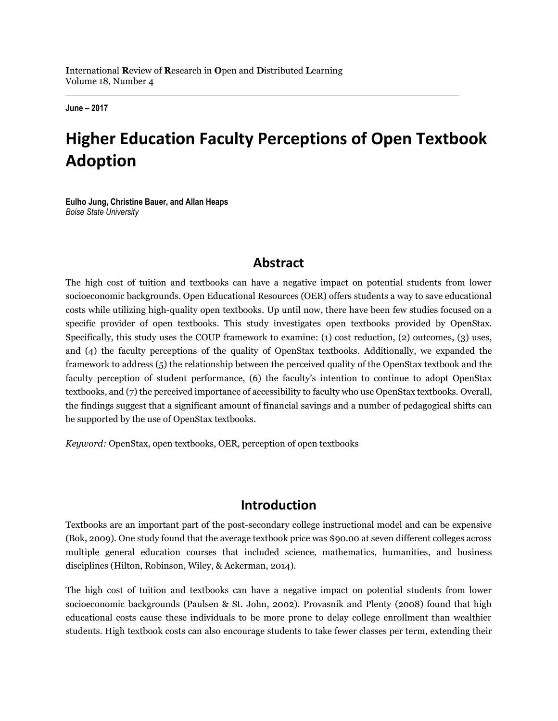**June – 2017**

# **Higher Education Faculty Perceptions of Open Textbook Adoption**

**Eulho Jung, Christine Bauer, and Allan Heaps** *Boise State University*

### **Abstract**

The high cost of tuition and textbooks can have a negative impact on potential students from lower socioeconomic backgrounds. Open Educational Resources (OER) offers students a way to save educational costs while utilizing high-quality open textbooks. Up until now, there have been few studies focused on a specific provider of open textbooks. This study investigates open textbooks provided by OpenStax. Specifically, this study uses the COUP framework to examine: (1) cost reduction, (2) outcomes, (3) uses, and (4) the faculty perceptions of the quality of OpenStax textbooks. Additionally, we expanded the framework to address (5) the relationship between the perceived quality of the OpenStax textbook and the faculty perception of student performance, (6) the faculty's intention to continue to adopt OpenStax textbooks, and (7) the perceived importance of accessibility to faculty who use OpenStax textbooks. Overall, the findings suggest that a significant amount of financial savings and a number of pedagogical shifts can be supported by the use of OpenStax textbooks.

*Keyword:* OpenStax, open textbooks, OER, perception of open textbooks

#### **Introduction**

Textbooks are an important part of the post-secondary college instructional model and can be expensive (Bok, 2009). One study found that the average textbook price was \$90.00 at seven different colleges across multiple general education courses that included science, mathematics, humanities, and business disciplines (Hilton, Robinson, Wiley, & Ackerman, 2014).

The high cost of tuition and textbooks can have a negative impact on potential students from lower socioeconomic backgrounds (Paulsen & St. John, 2002). Provasnik and Plenty (2008) found that high educational costs cause these individuals to be more prone to delay college enrollment than wealthier students. High textbook costs can also encourage students to take fewer classes per term, extending their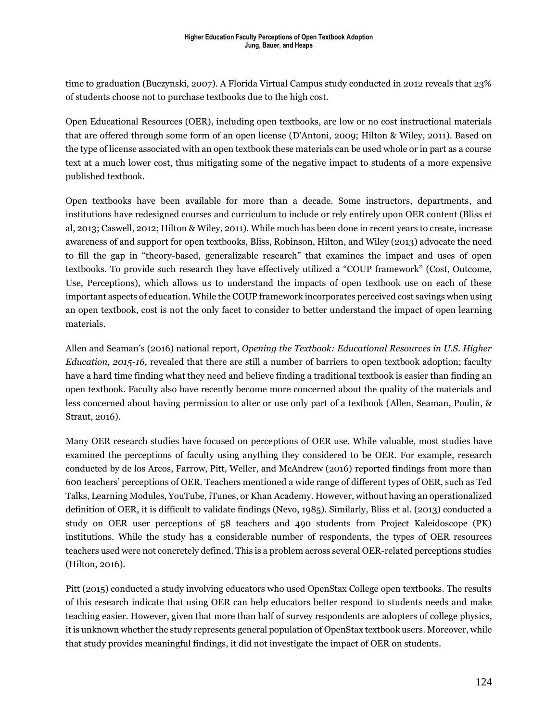time to graduation (Buczynski, 2007). A Florida Virtual Campus study conducted in 2012 reveals that 23% of students choose not to purchase textbooks due to the high cost.

Open Educational Resources (OER), including open textbooks, are low or no cost instructional materials that are offered through some form of an open license (D'Antoni, 2009; Hilton & Wiley, 2011). Based on the type of license associated with an open textbook these materials can be used whole or in part as a course text at a much lower cost, thus mitigating some of the negative impact to students of a more expensive published textbook.

Open textbooks have been available for more than a decade. Some instructors, departments, and institutions have redesigned courses and curriculum to include or rely entirely upon OER content (Bliss et al, 2013; Caswell, 2012; Hilton & Wiley, 2011). While much has been done in recent years to create, increase awareness of and support for open textbooks, Bliss, Robinson, Hilton, and Wiley (2013) advocate the need to fill the gap in "theory-based, generalizable research" that examines the impact and uses of open textbooks. To provide such research they have effectively utilized a "COUP framework" (Cost, Outcome, Use, Perceptions), which allows us to understand the impacts of open textbook use on each of these important aspects of education. While the COUP framework incorporates perceived cost savings when using an open textbook, cost is not the only facet to consider to better understand the impact of open learning materials.

Allen and Seaman's (2016) national report, *Opening the Textbook: Educational Resources in U.S. Higher Education, 2015-16,* revealed that there are still a number of barriers to open textbook adoption; faculty have a hard time finding what they need and believe finding a traditional textbook is easier than finding an open textbook. Faculty also have recently become more concerned about the quality of the materials and less concerned about having permission to alter or use only part of a textbook (Allen, Seaman, Poulin, & Straut, 2016).

Many OER research studies have focused on perceptions of OER use. While valuable, most studies have examined the perceptions of faculty using anything they considered to be OER. For example, research conducted by de los Arcos, Farrow, Pitt, Weller, and McAndrew (2016) reported findings from more than 600 teachers' perceptions of OER. Teachers mentioned a wide range of different types of OER, such as Ted Talks, Learning Modules, YouTube, iTunes, or Khan Academy. However, without having an operationalized definition of OER, it is difficult to validate findings (Nevo, 1985). Similarly, Bliss et al. (2013) conducted a study on OER user perceptions of 58 teachers and 490 students from Project Kaleidoscope (PK) institutions. While the study has a considerable number of respondents, the types of OER resources teachers used were not concretely defined. This is a problem across several OER-related perceptions studies (Hilton, 2016).

Pitt (2015) conducted a study involving educators who used OpenStax College open textbooks. The results of this research indicate that using OER can help educators better respond to students needs and make teaching easier. However, given that more than half of survey respondents are adopters of college physics, it is unknown whether the study represents general population of OpenStax textbook users. Moreover, while that study provides meaningful findings, it did not investigate the impact of OER on students.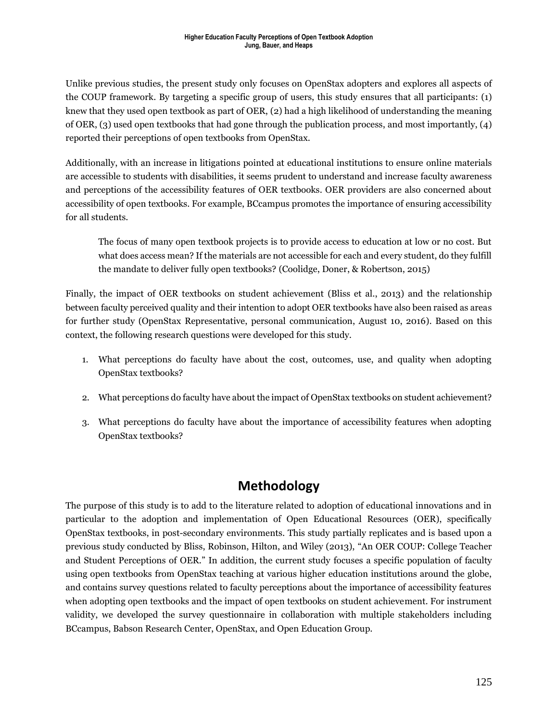Unlike previous studies, the present study only focuses on OpenStax adopters and explores all aspects of the COUP framework. By targeting a specific group of users, this study ensures that all participants: (1) knew that they used open textbook as part of OER, (2) had a high likelihood of understanding the meaning of OER, (3) used open textbooks that had gone through the publication process, and most importantly, (4) reported their perceptions of open textbooks from OpenStax.

Additionally, with an increase in litigations pointed at educational institutions to ensure online materials are accessible to students with disabilities, it seems prudent to understand and increase faculty awareness and perceptions of the accessibility features of OER textbooks. OER providers are also concerned about accessibility of open textbooks. For example, BCcampus promotes the importance of ensuring accessibility for all students.

The focus of many open textbook projects is to provide access to education at low or no cost. But what does access mean? If the materials are not accessible for each and every student, do they fulfill the mandate to deliver fully open textbooks? (Coolidge, Doner, & Robertson, 2015)

Finally, the impact of OER textbooks on student achievement (Bliss et al., 2013) and the relationship between faculty perceived quality and their intention to adopt OER textbooks have also been raised as areas for further study (OpenStax Representative, personal communication, August 10, 2016). Based on this context, the following research questions were developed for this study.

- 1. What perceptions do faculty have about the cost, outcomes, use, and quality when adopting OpenStax textbooks?
- 2. What perceptions do faculty have about the impact of OpenStax textbooks on student achievement?
- 3. What perceptions do faculty have about the importance of accessibility features when adopting OpenStax textbooks?

### **Methodology**

The purpose of this study is to add to the literature related to adoption of educational innovations and in particular to the adoption and implementation of Open Educational Resources (OER), specifically OpenStax textbooks, in post-secondary environments. This study partially replicates and is based upon a previous study conducted by Bliss, Robinson, Hilton, and Wiley (2013), "An OER COUP: College Teacher and Student Perceptions of OER." In addition, the current study focuses a specific population of faculty using open textbooks from OpenStax teaching at various higher education institutions around the globe, and contains survey questions related to faculty perceptions about the importance of accessibility features when adopting open textbooks and the impact of open textbooks on student achievement. For instrument validity, we developed the survey questionnaire in collaboration with multiple stakeholders including BCcampus, Babson Research Center, OpenStax, and Open Education Group.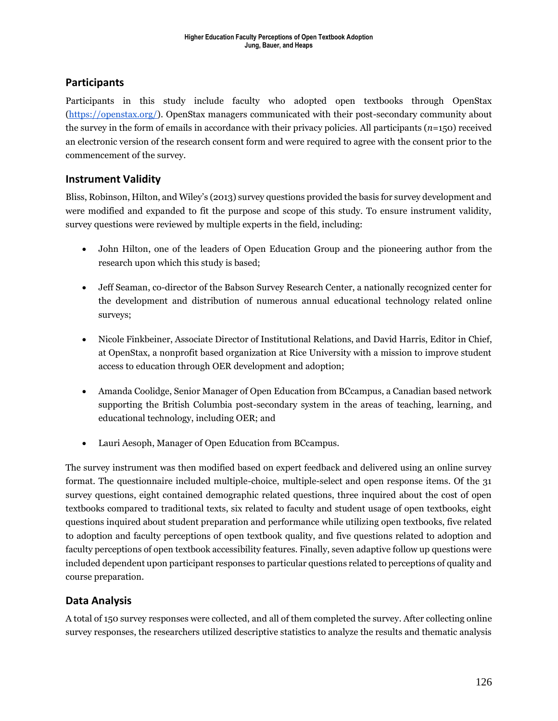#### **Participants**

Participants in this study include faculty who adopted open textbooks through OpenStax (https://openstax.org/). OpenStax managers communicated with their post-secondary community about the survey in the form of emails in accordance with their privacy policies. All participants (*n*=150) received an electronic version of the research consent form and were required to agree with the consent prior to the commencement of the survey.

#### **Instrument Validity**

Bliss, Robinson, Hilton, and Wiley's (2013) survey questions provided the basis for survey development and were modified and expanded to fit the purpose and scope of this study. To ensure instrument validity, survey questions were reviewed by multiple experts in the field, including:

- John Hilton, one of the leaders of Open Education Group and the pioneering author from the research upon which this study is based;
- Jeff Seaman, co-director of the Babson Survey Research Center, a nationally recognized center for the development and distribution of numerous annual educational technology related online surveys;
- Nicole Finkbeiner, Associate Director of Institutional Relations, and David Harris, Editor in Chief, at OpenStax, a nonprofit based organization at Rice University with a mission to improve student access to education through OER development and adoption;
- Amanda Coolidge, Senior Manager of Open Education from BCcampus, a Canadian based network supporting the British Columbia post-secondary system in the areas of teaching, learning, and educational technology, including OER; and
- Lauri Aesoph, Manager of Open Education from BCcampus.

The survey instrument was then modified based on expert feedback and delivered using an online survey format. The questionnaire included multiple-choice, multiple-select and open response items. Of the 31 survey questions, eight contained demographic related questions, three inquired about the cost of open textbooks compared to traditional texts, six related to faculty and student usage of open textbooks, eight questions inquired about student preparation and performance while utilizing open textbooks, five related to adoption and faculty perceptions of open textbook quality, and five questions related to adoption and faculty perceptions of open textbook accessibility features. Finally, seven adaptive follow up questions were included dependent upon participant responses to particular questions related to perceptions of quality and course preparation.

#### **Data Analysis**

A total of 150 survey responses were collected, and all of them completed the survey. After collecting online survey responses, the researchers utilized descriptive statistics to analyze the results and thematic analysis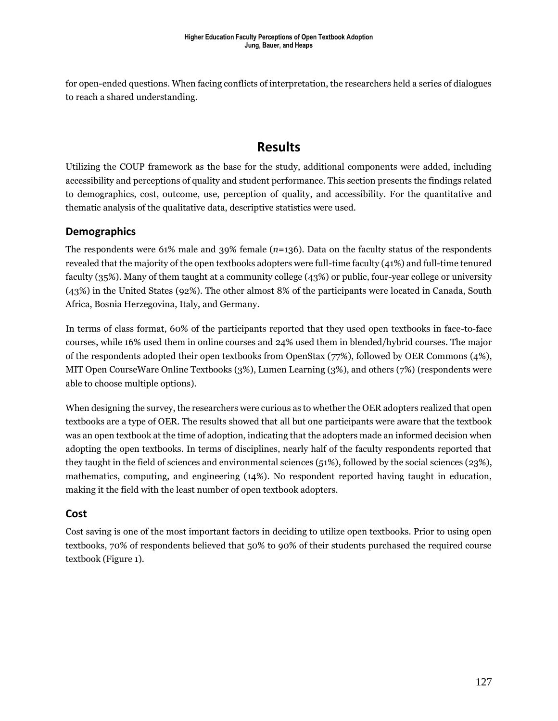for open-ended questions. When facing conflicts of interpretation, the researchers held a series of dialogues to reach a shared understanding.

## **Results**

Utilizing the COUP framework as the base for the study, additional components were added, including accessibility and perceptions of quality and student performance. This section presents the findings related to demographics, cost, outcome, use, perception of quality, and accessibility. For the quantitative and thematic analysis of the qualitative data, descriptive statistics were used.

#### **Demographics**

The respondents were 61% male and 39% female (*n*=136). Data on the faculty status of the respondents revealed that the majority of the open textbooks adopters were full-time faculty (41%) and full-time tenured faculty (35%). Many of them taught at a community college (43%) or public, four-year college or university (43%) in the United States (92%). The other almost 8% of the participants were located in Canada, South Africa, Bosnia Herzegovina, Italy, and Germany.

In terms of class format, 60% of the participants reported that they used open textbooks in face-to-face courses, while 16% used them in online courses and 24% used them in blended/hybrid courses. The major of the respondents adopted their open textbooks from OpenStax (77%), followed by OER Commons (4%), MIT Open CourseWare Online Textbooks (3%), Lumen Learning (3%), and others (7%) (respondents were able to choose multiple options).

When designing the survey, the researchers were curious as to whether the OER adopters realized that open textbooks are a type of OER. The results showed that all but one participants were aware that the textbook was an open textbook at the time of adoption, indicating that the adopters made an informed decision when adopting the open textbooks. In terms of disciplines, nearly half of the faculty respondents reported that they taught in the field of sciences and environmental sciences (51%), followed by the social sciences (23%), mathematics, computing, and engineering (14%). No respondent reported having taught in education, making it the field with the least number of open textbook adopters.

#### **Cost**

Cost saving is one of the most important factors in deciding to utilize open textbooks. Prior to using open textbooks, 70% of respondents believed that 50% to 90% of their students purchased the required course textbook (Figure 1).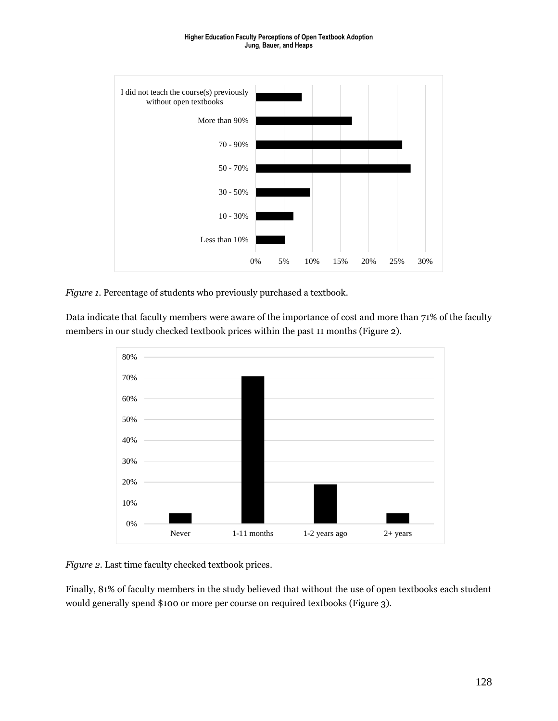#### **Higher Education Faculty Perceptions of Open Textbook Adoption Jung, Bauer, and Heaps**



*Figure 1*. Percentage of students who previously purchased a textbook.

Data indicate that faculty members were aware of the importance of cost and more than 71% of the faculty members in our study checked textbook prices within the past 11 months (Figure 2).



*Figure 2*. Last time faculty checked textbook prices.

Finally, 81% of faculty members in the study believed that without the use of open textbooks each student would generally spend \$100 or more per course on required textbooks (Figure 3).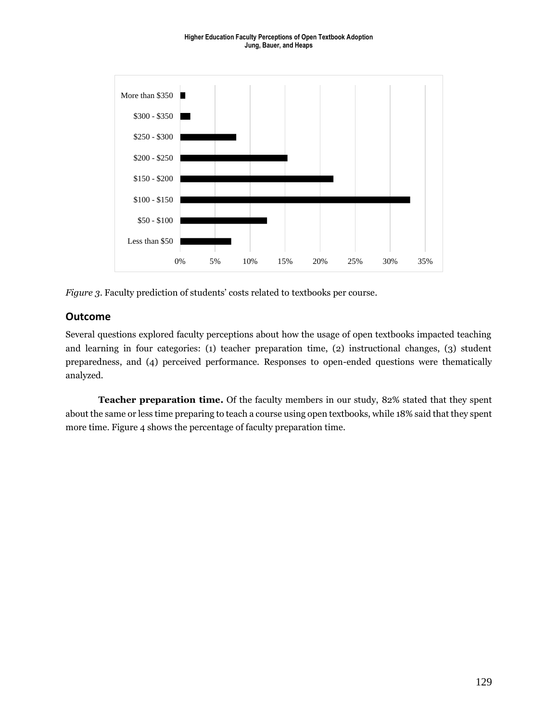

*Figure 3*. Faculty prediction of students' costs related to textbooks per course.

#### **Outcome**

Several questions explored faculty perceptions about how the usage of open textbooks impacted teaching and learning in four categories: (1) teacher preparation time, (2) instructional changes, (3) student preparedness, and (4) perceived performance. Responses to open-ended questions were thematically analyzed.

**Teacher preparation time.** Of the faculty members in our study, 82% stated that they spent about the same or less time preparing to teach a course using open textbooks, while 18% said that they spent more time. Figure 4 shows the percentage of faculty preparation time.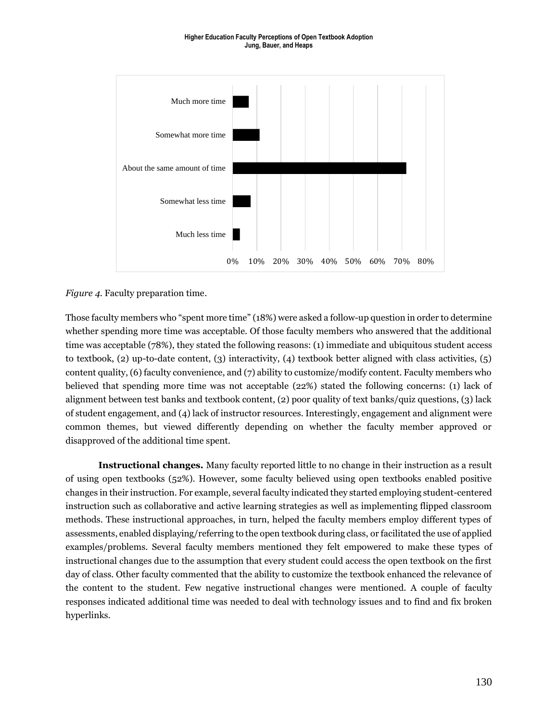

*Figure 4*. Faculty preparation time.

Those faculty members who "spent more time" (18%) were asked a follow-up question in order to determine whether spending more time was acceptable. Of those faculty members who answered that the additional time was acceptable (78%), they stated the following reasons: (1) immediate and ubiquitous student access to textbook, (2) up-to-date content, (3) interactivity, (4) textbook better aligned with class activities, (5) content quality, (6) faculty convenience, and (7) ability to customize/modify content. Faculty members who believed that spending more time was not acceptable (22%) stated the following concerns: (1) lack of alignment between test banks and textbook content, (2) poor quality of text banks/quiz questions, (3) lack of student engagement, and (4) lack of instructor resources. Interestingly, engagement and alignment were common themes, but viewed differently depending on whether the faculty member approved or disapproved of the additional time spent.

**Instructional changes.** Many faculty reported little to no change in their instruction as a result of using open textbooks (52%). However, some faculty believed using open textbooks enabled positive changes in their instruction. For example, several faculty indicated they started employing student-centered instruction such as collaborative and active learning strategies as well as implementing flipped classroom methods. These instructional approaches, in turn, helped the faculty members employ different types of assessments, enabled displaying/referring to the open textbook during class, or facilitated the use of applied examples/problems. Several faculty members mentioned they felt empowered to make these types of instructional changes due to the assumption that every student could access the open textbook on the first day of class. Other faculty commented that the ability to customize the textbook enhanced the relevance of the content to the student. Few negative instructional changes were mentioned. A couple of faculty responses indicated additional time was needed to deal with technology issues and to find and fix broken hyperlinks.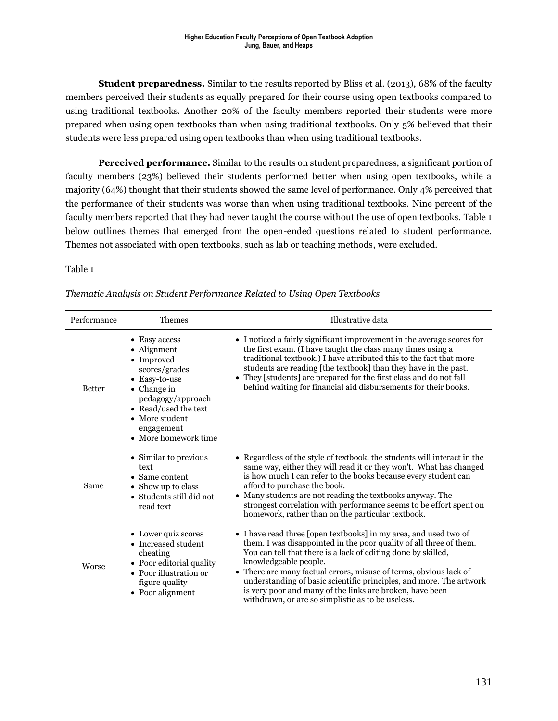**Student preparedness.** Similar to the results reported by Bliss et al. (2013), 68% of the faculty members perceived their students as equally prepared for their course using open textbooks compared to using traditional textbooks. Another 20% of the faculty members reported their students were more prepared when using open textbooks than when using traditional textbooks. Only 5% believed that their students were less prepared using open textbooks than when using traditional textbooks.

**Perceived performance.** Similar to the results on student preparedness, a significant portion of faculty members (23%) believed their students performed better when using open textbooks, while a majority (64%) thought that their students showed the same level of performance. Only 4% perceived that the performance of their students was worse than when using traditional textbooks. Nine percent of the faculty members reported that they had never taught the course without the use of open textbooks. Table 1 below outlines themes that emerged from the open-ended questions related to student performance. Themes not associated with open textbooks, such as lab or teaching methods, were excluded.

#### Table 1

| Performance   | <b>Themes</b>                                                                                                                                                                                              | Illustrative data                                                                                                                                                                                                                                                                                                                                                                                                                                                                             |  |  |
|---------------|------------------------------------------------------------------------------------------------------------------------------------------------------------------------------------------------------------|-----------------------------------------------------------------------------------------------------------------------------------------------------------------------------------------------------------------------------------------------------------------------------------------------------------------------------------------------------------------------------------------------------------------------------------------------------------------------------------------------|--|--|
| <b>Better</b> | Easy access<br>Alignment<br>• Improved<br>scores/grades<br>Easy-to-use<br>$\bullet$ Change in<br>pedagogy/approach<br>• Read/used the text<br>$\bullet$ More student<br>engagement<br>• More homework time | • I noticed a fairly significant improvement in the average scores for<br>the first exam. (I have taught the class many times using a<br>traditional textbook.) I have attributed this to the fact that more<br>students are reading [the textbook] than they have in the past.<br>• They [students] are prepared for the first class and do not fall<br>behind waiting for financial aid disbursements for their books.                                                                      |  |  |
| Same          | • Similar to previous<br>text<br>• Same content<br>Show up to class<br>• Students still did not<br>read text                                                                                               | • Regardless of the style of textbook, the students will interact in the<br>same way, either they will read it or they won't. What has changed<br>is how much I can refer to the books because every student can<br>afford to purchase the book.<br>• Many students are not reading the textbooks anyway. The<br>strongest correlation with performance seems to be effort spent on<br>homework, rather than on the particular textbook.                                                      |  |  |
| Worse         | • Lower quiz scores<br>Increased student<br>cheating<br>• Poor editorial quality<br>• Poor illustration or<br>figure quality<br>• Poor alignment                                                           | • I have read three [open textbooks] in my area, and used two of<br>them. I was disappointed in the poor quality of all three of them.<br>You can tell that there is a lack of editing done by skilled,<br>knowledgeable people.<br>• There are many factual errors, misuse of terms, obvious lack of<br>understanding of basic scientific principles, and more. The artwork<br>is very poor and many of the links are broken, have been<br>withdrawn, or are so simplistic as to be useless. |  |  |

*Thematic Analysis on Student Performance Related to Using Open Textbooks*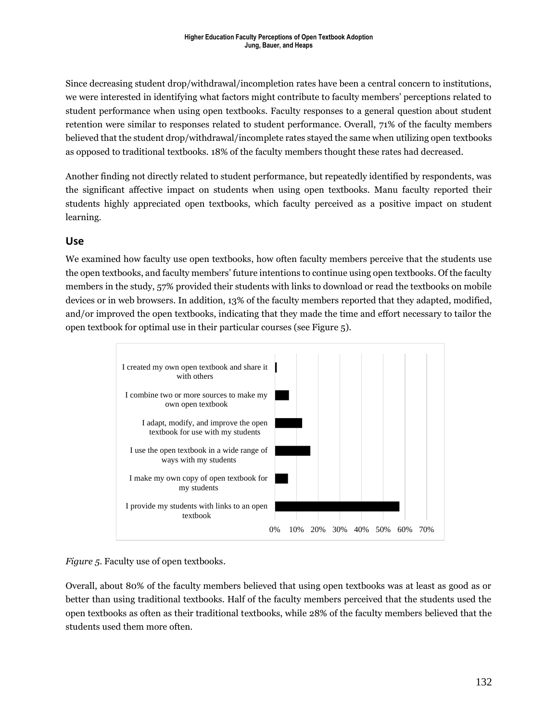Since decreasing student drop/withdrawal/incompletion rates have been a central concern to institutions, we were interested in identifying what factors might contribute to faculty members' perceptions related to student performance when using open textbooks. Faculty responses to a general question about student retention were similar to responses related to student performance. Overall, 71% of the faculty members believed that the student drop/withdrawal/incomplete rates stayed the same when utilizing open textbooks as opposed to traditional textbooks. 18% of the faculty members thought these rates had decreased.

Another finding not directly related to student performance, but repeatedly identified by respondents, was the significant affective impact on students when using open textbooks. Manu faculty reported their students highly appreciated open textbooks, which faculty perceived as a positive impact on student learning.

#### **Use**

We examined how faculty use open textbooks, how often faculty members perceive that the students use the open textbooks, and faculty members' future intentions to continue using open textbooks. Of the faculty members in the study, 57% provided their students with links to download or read the textbooks on mobile devices or in web browsers. In addition, 13% of the faculty members reported that they adapted, modified, and/or improved the open textbooks, indicating that they made the time and effort necessary to tailor the open textbook for optimal use in their particular courses (see Figure 5).



*Figure 5*. Faculty use of open textbooks.

Overall, about 80% of the faculty members believed that using open textbooks was at least as good as or better than using traditional textbooks. Half of the faculty members perceived that the students used the open textbooks as often as their traditional textbooks, while 28% of the faculty members believed that the students used them more often.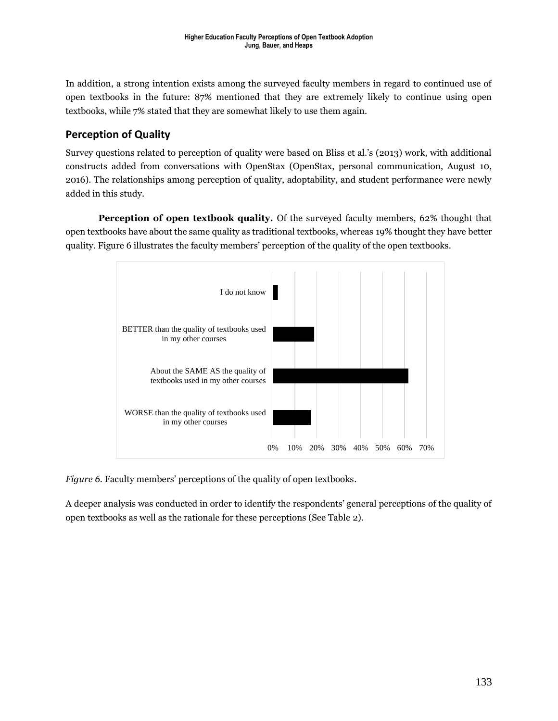In addition, a strong intention exists among the surveyed faculty members in regard to continued use of open textbooks in the future: 87% mentioned that they are extremely likely to continue using open textbooks, while 7% stated that they are somewhat likely to use them again.

#### **Perception of Quality**

Survey questions related to perception of quality were based on Bliss et al.'s (2013) work, with additional constructs added from conversations with OpenStax (OpenStax, personal communication, August 10, 2016). The relationships among perception of quality, adoptability, and student performance were newly added in this study.

**Perception of open textbook quality.** Of the surveyed faculty members, 62% thought that open textbooks have about the same quality as traditional textbooks, whereas 19% thought they have better quality. Figure 6 illustrates the faculty members' perception of the quality of the open textbooks.



*Figure 6*. Faculty members' perceptions of the quality of open textbooks.

A deeper analysis was conducted in order to identify the respondents' general perceptions of the quality of open textbooks as well as the rationale for these perceptions (See Table 2).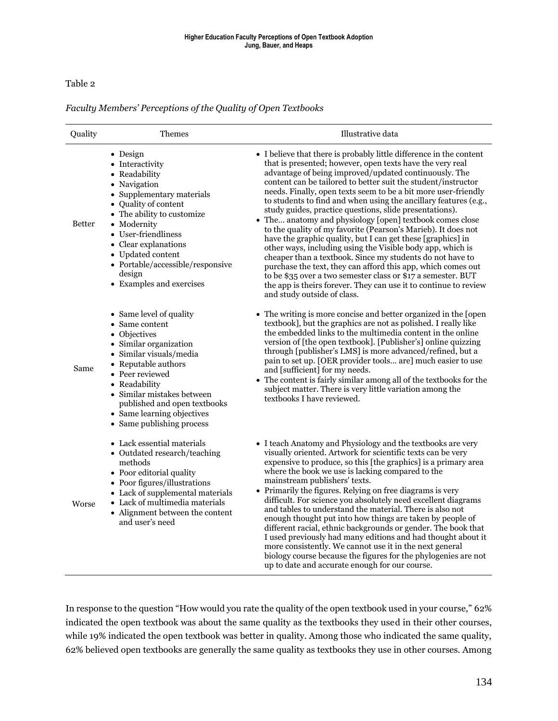#### Table 2

#### *Faculty Members' Perceptions of the Quality of Open Textbooks*

| Quality       | Themes                                                                                                                                                                                                                                                                                                               | Illustrative data                                                                                                                                                                                                                                                                                                                                                                                                                                                                                                                                                                                                                                                                                                                                                                                                                                                                                                                                                                                                     |  |  |
|---------------|----------------------------------------------------------------------------------------------------------------------------------------------------------------------------------------------------------------------------------------------------------------------------------------------------------------------|-----------------------------------------------------------------------------------------------------------------------------------------------------------------------------------------------------------------------------------------------------------------------------------------------------------------------------------------------------------------------------------------------------------------------------------------------------------------------------------------------------------------------------------------------------------------------------------------------------------------------------------------------------------------------------------------------------------------------------------------------------------------------------------------------------------------------------------------------------------------------------------------------------------------------------------------------------------------------------------------------------------------------|--|--|
| <b>Better</b> | $\bullet$ Design<br>• Interactivity<br>• Readability<br>• Navigation<br>• Supplementary materials<br>• Quality of content<br>• The ability to customize<br>• Modernity<br>• User-friendliness<br>• Clear explanations<br>• Updated content<br>• Portable/accessible/responsive<br>design<br>• Examples and exercises | • I believe that there is probably little difference in the content<br>that is presented; however, open texts have the very real<br>advantage of being improved/updated continuously. The<br>content can be tailored to better suit the student/instructor<br>needs. Finally, open texts seem to be a bit more user-friendly<br>to students to find and when using the ancillary features (e.g.,<br>study guides, practice questions, slide presentations).<br>• The anatomy and physiology [open] textbook comes close<br>to the quality of my favorite (Pearson's Marieb). It does not<br>have the graphic quality, but I can get these [graphics] in<br>other ways, including using the Visible body app, which is<br>cheaper than a textbook. Since my students do not have to<br>purchase the text, they can afford this app, which comes out<br>to be \$35 over a two semester class or \$17 a semester. BUT<br>the app is theirs forever. They can use it to continue to review<br>and study outside of class. |  |  |
| Same          | • Same level of quality<br>• Same content<br>• Objectives<br>• Similar organization<br>· Similar visuals/media<br>• Reputable authors<br>• Peer reviewed<br>• Readability<br>• Similar mistakes between<br>published and open textbooks<br>• Same learning objectives<br>• Same publishing process                   | • The writing is more concise and better organized in the [open<br>textbook], but the graphics are not as polished. I really like<br>the embedded links to the multimedia content in the online<br>version of [the open textbook]. [Publisher's] online quizzing<br>through [publisher's LMS] is more advanced/refined, but a<br>pain to set up. [OER provider tools are] much easier to use<br>and [sufficient] for my needs.<br>The content is fairly similar among all of the textbooks for the<br>subject matter. There is very little variation among the<br>textbooks I have reviewed.                                                                                                                                                                                                                                                                                                                                                                                                                          |  |  |
| Worse         | $\bullet~$ Lack essential materials<br>• Outdated research/teaching<br>methods<br>• Poor editorial quality<br>• Poor figures/illustrations<br>• Lack of supplemental materials<br>• Lack of multimedia materials<br>• Alignment between the content<br>and user's need                                               | • I teach Anatomy and Physiology and the textbooks are very<br>visually oriented. Artwork for scientific texts can be very<br>expensive to produce, so this [the graphics] is a primary area<br>where the book we use is lacking compared to the<br>mainstream publishers' texts.<br>• Primarily the figures. Relying on free diagrams is very<br>difficult. For science you absolutely need excellent diagrams<br>and tables to understand the material. There is also not<br>enough thought put into how things are taken by people of<br>different racial, ethnic backgrounds or gender. The book that<br>I used previously had many editions and had thought about it<br>more consistently. We cannot use it in the next general<br>biology course because the figures for the phylogenies are not<br>up to date and accurate enough for our course.                                                                                                                                                              |  |  |

In response to the question "How would you rate the quality of the open textbook used in your course," 62% indicated the open textbook was about the same quality as the textbooks they used in their other courses, while 19% indicated the open textbook was better in quality. Among those who indicated the same quality, 62% believed open textbooks are generally the same quality as textbooks they use in other courses. Among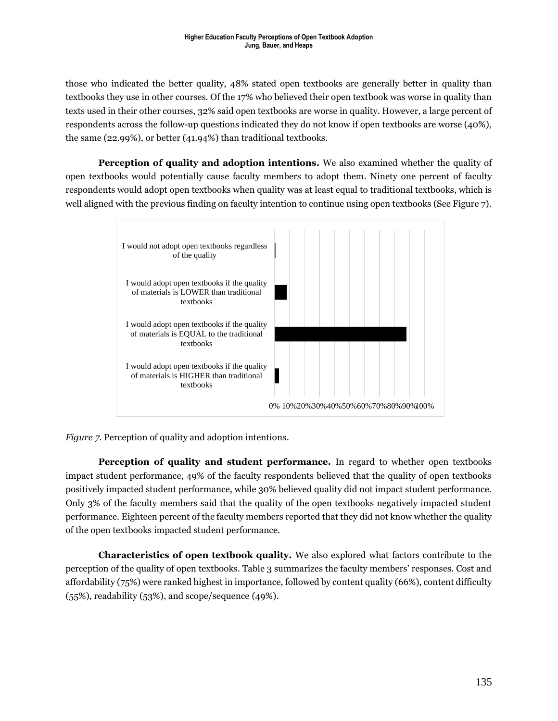those who indicated the better quality, 48% stated open textbooks are generally better in quality than textbooks they use in other courses. Of the 17% who believed their open textbook was worse in quality than texts used in their other courses, 32% said open textbooks are worse in quality. However, a large percent of respondents across the follow-up questions indicated they do not know if open textbooks are worse (40%), the same (22.99%), or better (41.94%) than traditional textbooks.

**Perception of quality and adoption intentions.** We also examined whether the quality of open textbooks would potentially cause faculty members to adopt them. Ninety one percent of faculty respondents would adopt open textbooks when quality was at least equal to traditional textbooks, which is well aligned with the previous finding on faculty intention to continue using open textbooks (See Figure 7).



*Figure 7*. Perception of quality and adoption intentions.

**Perception of quality and student performance.** In regard to whether open textbooks impact student performance, 49% of the faculty respondents believed that the quality of open textbooks positively impacted student performance, while 30% believed quality did not impact student performance. Only 3% of the faculty members said that the quality of the open textbooks negatively impacted student performance. Eighteen percent of the faculty members reported that they did not know whether the quality of the open textbooks impacted student performance.

**Characteristics of open textbook quality.** We also explored what factors contribute to the perception of the quality of open textbooks. Table 3 summarizes the faculty members' responses. Cost and affordability (75%) were ranked highest in importance, followed by content quality (66%), content difficulty (55%), readability (53%), and scope/sequence (49%).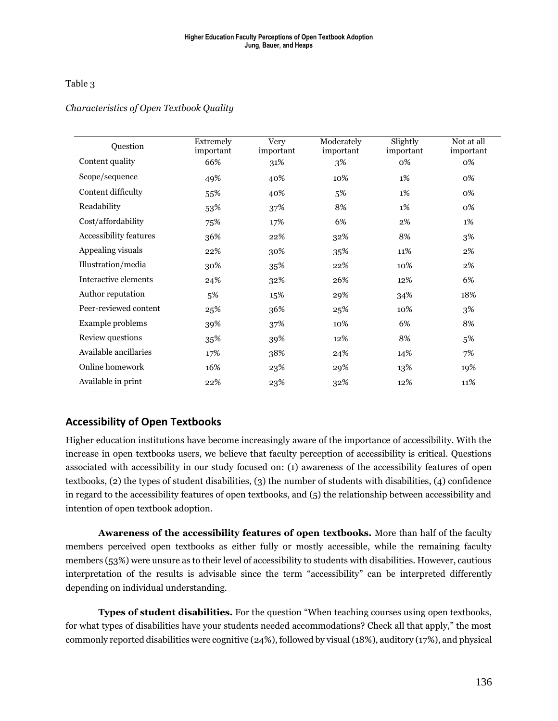#### Table 3

#### *Characteristics of Open Textbook Quality*

| Question               | Extremely<br>important | <b>Very</b><br>important | Moderately<br>important | Slightly<br>important | Not at all<br>important |
|------------------------|------------------------|--------------------------|-------------------------|-----------------------|-------------------------|
| Content quality        | 66%                    | 31%                      | 3%                      | 0%                    | 0%                      |
| Scope/sequence         | 49%                    | 40%                      | 10%                     | 1%                    | 0%                      |
| Content difficulty     | 55%                    | 40%                      | 5%                      | $1\%$                 | 0%                      |
| Readability            | 53%                    | 37%                      | 8%                      | $1\%$                 | 0%                      |
| Cost/affordability     | 75%                    | 17%                      | 6%                      | $2\%$                 | $1\%$                   |
| Accessibility features | 36%                    | 22%                      | 32%                     | 8%                    | 3%                      |
| Appealing visuals      | 22%                    | 30%                      | 35%                     | 11%                   | 2%                      |
| Illustration/media     | 30%                    | 35%                      | 22%                     | 10%                   | 2%                      |
| Interactive elements   | 24%                    | 32%                      | 26%                     | 12%                   | 6%                      |
| Author reputation      | 5%                     | 15%                      | 29%                     | 34%                   | 18%                     |
| Peer-reviewed content  | 25%                    | 36%                      | 25%                     | 10%                   | 3%                      |
| Example problems       | 39%                    | 37%                      | 10%                     | 6%                    | 8%                      |
| Review questions       | 35%                    | 39%                      | 12%                     | 8%                    | 5%                      |
| Available ancillaries  | 17%                    | 38%                      | 24%                     | 14%                   | 7%                      |
| Online homework        | 16%                    | 23%                      | 29%                     | 13%                   | 19%                     |
| Available in print     | 22%                    | 23%                      | 32%                     | 12%                   | 11%                     |

#### **Accessibility of Open Textbooks**

Higher education institutions have become increasingly aware of the importance of accessibility. With the increase in open textbooks users, we believe that faculty perception of accessibility is critical. Questions associated with accessibility in our study focused on: (1) awareness of the accessibility features of open textbooks, (2) the types of student disabilities, (3) the number of students with disabilities, (4) confidence in regard to the accessibility features of open textbooks, and (5) the relationship between accessibility and intention of open textbook adoption.

**Awareness of the accessibility features of open textbooks.** More than half of the faculty members perceived open textbooks as either fully or mostly accessible, while the remaining faculty members (53%) were unsure as to their level of accessibility to students with disabilities. However, cautious interpretation of the results is advisable since the term "accessibility" can be interpreted differently depending on individual understanding.

**Types of student disabilities.** For the question "When teaching courses using open textbooks, for what types of disabilities have your students needed accommodations? Check all that apply," the most commonly reported disabilities were cognitive (24%), followed by visual (18%), auditory (17%), and physical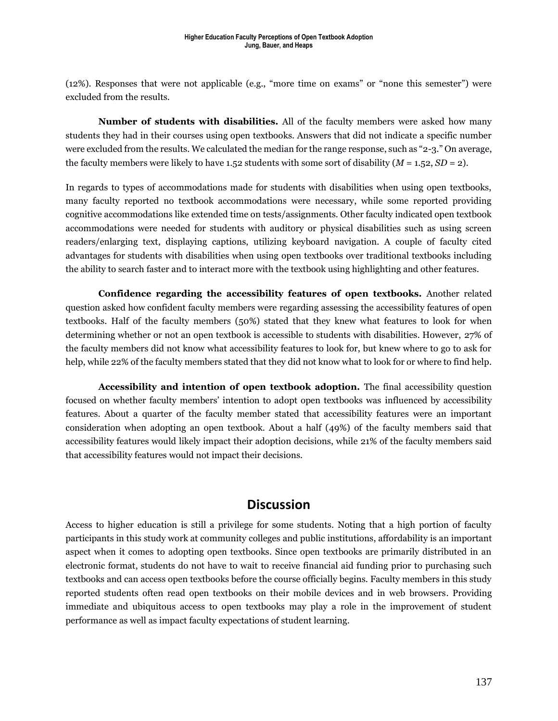(12%). Responses that were not applicable (e.g., "more time on exams" or "none this semester") were excluded from the results.

**Number of students with disabilities.** All of the faculty members were asked how many students they had in their courses using open textbooks. Answers that did not indicate a specific number were excluded from the results. We calculated the median for the range response, such as "2-3." On average, the faculty members were likely to have 1.52 students with some sort of disability  $(M = 1.52, SD = 2)$ .

In regards to types of accommodations made for students with disabilities when using open textbooks, many faculty reported no textbook accommodations were necessary, while some reported providing cognitive accommodations like extended time on tests/assignments. Other faculty indicated open textbook accommodations were needed for students with auditory or physical disabilities such as using screen readers/enlarging text, displaying captions, utilizing keyboard navigation. A couple of faculty cited advantages for students with disabilities when using open textbooks over traditional textbooks including the ability to search faster and to interact more with the textbook using highlighting and other features.

**Confidence regarding the accessibility features of open textbooks.** Another related question asked how confident faculty members were regarding assessing the accessibility features of open textbooks. Half of the faculty members (50%) stated that they knew what features to look for when determining whether or not an open textbook is accessible to students with disabilities. However, 27% of the faculty members did not know what accessibility features to look for, but knew where to go to ask for help, while 22% of the faculty members stated that they did not know what to look for or where to find help.

**Accessibility and intention of open textbook adoption.** The final accessibility question focused on whether faculty members' intention to adopt open textbooks was influenced by accessibility features. About a quarter of the faculty member stated that accessibility features were an important consideration when adopting an open textbook. About a half (49%) of the faculty members said that accessibility features would likely impact their adoption decisions, while 21% of the faculty members said that accessibility features would not impact their decisions.

### **Discussion**

Access to higher education is still a privilege for some students. Noting that a high portion of faculty participants in this study work at community colleges and public institutions, affordability is an important aspect when it comes to adopting open textbooks. Since open textbooks are primarily distributed in an electronic format, students do not have to wait to receive financial aid funding prior to purchasing such textbooks and can access open textbooks before the course officially begins. Faculty members in this study reported students often read open textbooks on their mobile devices and in web browsers. Providing immediate and ubiquitous access to open textbooks may play a role in the improvement of student performance as well as impact faculty expectations of student learning.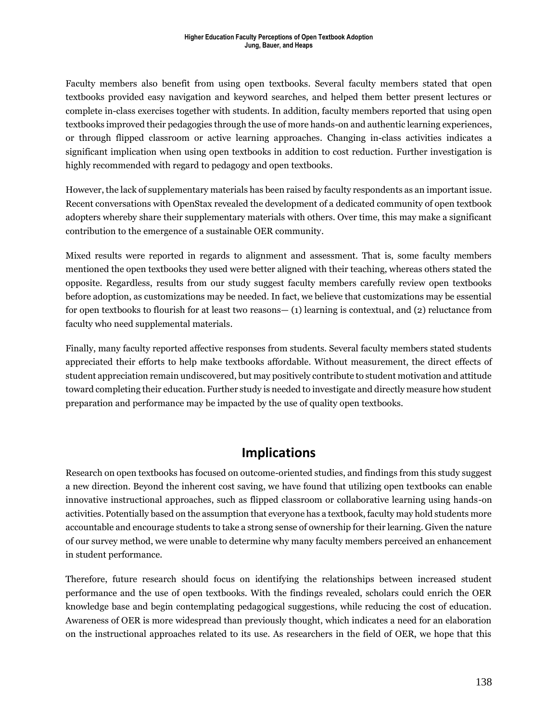Faculty members also benefit from using open textbooks. Several faculty members stated that open textbooks provided easy navigation and keyword searches, and helped them better present lectures or complete in-class exercises together with students. In addition, faculty members reported that using open textbooks improved their pedagogies through the use of more hands-on and authentic learning experiences, or through flipped classroom or active learning approaches. Changing in-class activities indicates a significant implication when using open textbooks in addition to cost reduction. Further investigation is highly recommended with regard to pedagogy and open textbooks.

However, the lack of supplementary materials has been raised by faculty respondents as an important issue. Recent conversations with OpenStax revealed the development of a dedicated community of open textbook adopters whereby share their supplementary materials with others. Over time, this may make a significant contribution to the emergence of a sustainable OER community.

Mixed results were reported in regards to alignment and assessment. That is, some faculty members mentioned the open textbooks they used were better aligned with their teaching, whereas others stated the opposite. Regardless, results from our study suggest faculty members carefully review open textbooks before adoption, as customizations may be needed. In fact, we believe that customizations may be essential for open textbooks to flourish for at least two reasons— (1) learning is contextual, and (2) reluctance from faculty who need supplemental materials.

Finally, many faculty reported affective responses from students. Several faculty members stated students appreciated their efforts to help make textbooks affordable. Without measurement, the direct effects of student appreciation remain undiscovered, but may positively contribute to student motivation and attitude toward completing their education. Further study is needed to investigate and directly measure how student preparation and performance may be impacted by the use of quality open textbooks.

### **Implications**

Research on open textbooks has focused on outcome-oriented studies, and findings from this study suggest a new direction. Beyond the inherent cost saving, we have found that utilizing open textbooks can enable innovative instructional approaches, such as flipped classroom or collaborative learning using hands-on activities. Potentially based on the assumption that everyone has a textbook, faculty may hold students more accountable and encourage students to take a strong sense of ownership for their learning. Given the nature of our survey method, we were unable to determine why many faculty members perceived an enhancement in student performance.

Therefore, future research should focus on identifying the relationships between increased student performance and the use of open textbooks. With the findings revealed, scholars could enrich the OER knowledge base and begin contemplating pedagogical suggestions, while reducing the cost of education. Awareness of OER is more widespread than previously thought, which indicates a need for an elaboration on the instructional approaches related to its use. As researchers in the field of OER, we hope that this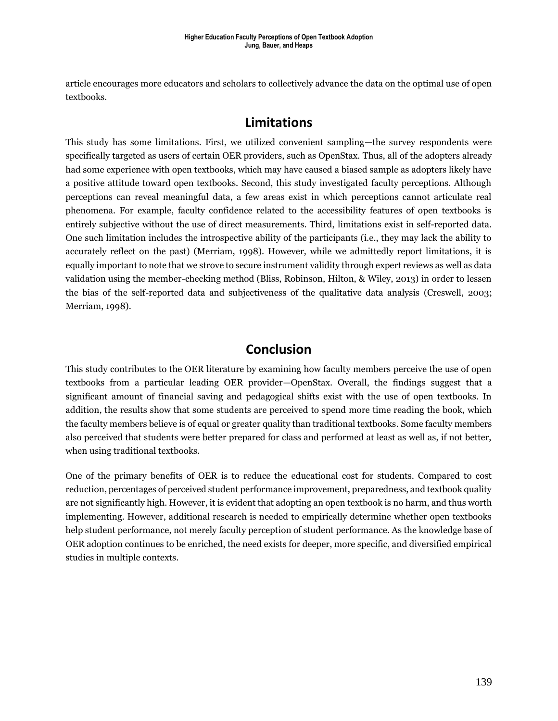article encourages more educators and scholars to collectively advance the data on the optimal use of open textbooks.

### **Limitations**

This study has some limitations. First, we utilized convenient sampling—the survey respondents were specifically targeted as users of certain OER providers, such as OpenStax. Thus, all of the adopters already had some experience with open textbooks, which may have caused a biased sample as adopters likely have a positive attitude toward open textbooks. Second, this study investigated faculty perceptions. Although perceptions can reveal meaningful data, a few areas exist in which perceptions cannot articulate real phenomena. For example, faculty confidence related to the accessibility features of open textbooks is entirely subjective without the use of direct measurements. Third, limitations exist in self-reported data. One such limitation includes the introspective ability of the participants (i.e., they may lack the ability to accurately reflect on the past) (Merriam, 1998). However, while we admittedly report limitations, it is equally important to note that we strove to secure instrument validity through expert reviews as well as data validation using the member-checking method (Bliss, Robinson, Hilton, & Wiley, 2013) in order to lessen the bias of the self-reported data and subjectiveness of the qualitative data analysis (Creswell, 2003; Merriam, 1998).

### **Conclusion**

This study contributes to the OER literature by examining how faculty members perceive the use of open textbooks from a particular leading OER provider—OpenStax. Overall, the findings suggest that a significant amount of financial saving and pedagogical shifts exist with the use of open textbooks. In addition, the results show that some students are perceived to spend more time reading the book, which the faculty members believe is of equal or greater quality than traditional textbooks. Some faculty members also perceived that students were better prepared for class and performed at least as well as, if not better, when using traditional textbooks.

One of the primary benefits of OER is to reduce the educational cost for students. Compared to cost reduction, percentages of perceived student performance improvement, preparedness, and textbook quality are not significantly high. However, it is evident that adopting an open textbook is no harm, and thus worth implementing. However, additional research is needed to empirically determine whether open textbooks help student performance, not merely faculty perception of student performance. As the knowledge base of OER adoption continues to be enriched, the need exists for deeper, more specific, and diversified empirical studies in multiple contexts.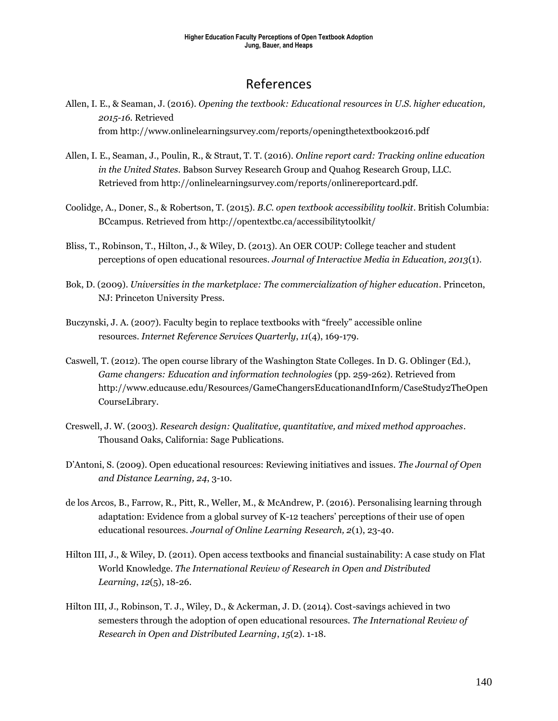### References

- Allen, I. E., & Seaman, J. (2016). *Opening the textbook: Educational resources in U.S. higher education, 2015-16.* Retrieved from http://www.onlinelearningsurvey.com/reports/openingthetextbook2016.pdf
- Allen, I. E., Seaman, J., Poulin, R., & Straut, T. T. (2016). *Online report card: Tracking online education in the United States*. Babson Survey Research Group and Quahog Research Group, LLC. Retrieved from http://onlinelearningsurvey.com/reports/onlinereportcard.pdf.
- Coolidge, A., Doner, S., & Robertson, T. (2015). *B.C. open textbook accessibility toolkit*. British Columbia: BCcampus. Retrieved from http://opentextbc.ca/accessibilitytoolkit/
- Bliss, T., Robinson, T., Hilton, J., & Wiley, D. (2013). An OER COUP: College teacher and student perceptions of open educational resources. *Journal of Interactive Media in Education, 2013*(1).
- Bok, D. (2009). *Universities in the marketplace: The commercialization of higher education*. Princeton, NJ: Princeton University Press.
- Buczynski, J. A. (2007). Faculty begin to replace textbooks with "freely" accessible online resources. *Internet Reference Services Quarterly*, *11*(4), 169-179.
- Caswell, T. (2012). The open course library of the Washington State Colleges. In D. G. Oblinger (Ed.), *Game changers: Education and information technologies* (pp. 259-262). Retrieved from http://www.educause.edu/Resources/GameChangersEducationandInform/CaseStudy2TheOpen CourseLibrary.
- Creswell, J. W. (2003). *Research design: Qualitative, quantitative, and mixed method approaches*. Thousand Oaks, California: Sage Publications.
- D'Antoni, S. (2009). Open educational resources: Reviewing initiatives and issues. *The Journal of Open and Distance Learning, 24*, 3-10.
- de los Arcos, B., Farrow, R., Pitt, R., Weller, M., & McAndrew, P. (2016). Personalising learning through adaptation: Evidence from a global survey of K-12 teachers' perceptions of their use of open educational resources. *Journal of Online Learning Research, 2*(1), 23-40.
- Hilton III, J., & Wiley, D. (2011). Open access textbooks and financial sustainability: A case study on Flat World Knowledge. *The International Review of Research in Open and Distributed Learning*, *12*(5), 18-26.
- Hilton III, J., Robinson, T. J., Wiley, D., & Ackerman, J. D. (2014). Cost-savings achieved in two semesters through the adoption of open educational resources. *The International Review of Research in Open and Distributed Learning*, *15*(2). 1-18.